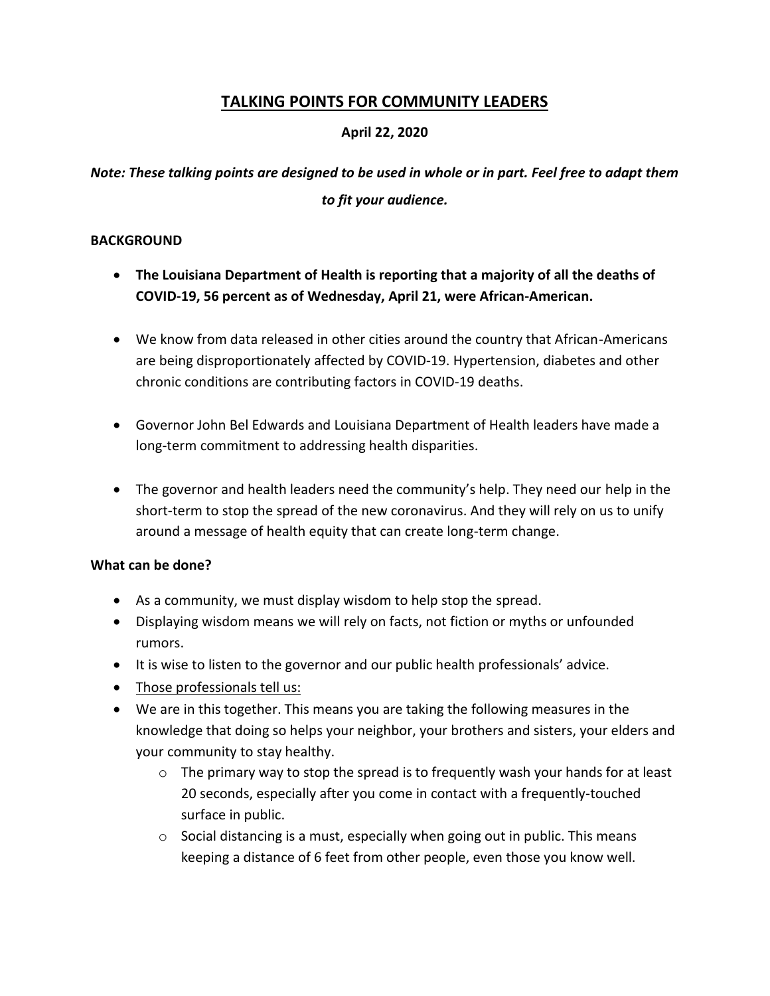# **TALKING POINTS FOR COMMUNITY LEADERS**

## **April 22, 2020**

# *Note: These talking points are designed to be used in whole or in part. Feel free to adapt them to fit your audience.*

#### **BACKGROUND**

- **The Louisiana Department of Health is reporting that a majority of all the deaths of COVID-19, 56 percent as of Wednesday, April 21, were African-American.**
- We know from data released in other cities around the country that African-Americans are being disproportionately affected by COVID-19. Hypertension, diabetes and other chronic conditions are contributing factors in COVID-19 deaths.
- Governor John Bel Edwards and Louisiana Department of Health leaders have made a long-term commitment to addressing health disparities.
- The governor and health leaders need the community's help. They need our help in the short-term to stop the spread of the new coronavirus. And they will rely on us to unify around a message of health equity that can create long-term change.

#### **What can be done?**

- As a community, we must display wisdom to help stop the spread.
- Displaying wisdom means we will rely on facts, not fiction or myths or unfounded rumors.
- It is wise to listen to the governor and our public health professionals' advice.
- Those professionals tell us:
- We are in this together. This means you are taking the following measures in the knowledge that doing so helps your neighbor, your brothers and sisters, your elders and your community to stay healthy.
	- $\circ$  The primary way to stop the spread is to frequently wash your hands for at least 20 seconds, especially after you come in contact with a frequently-touched surface in public.
	- $\circ$  Social distancing is a must, especially when going out in public. This means keeping a distance of 6 feet from other people, even those you know well.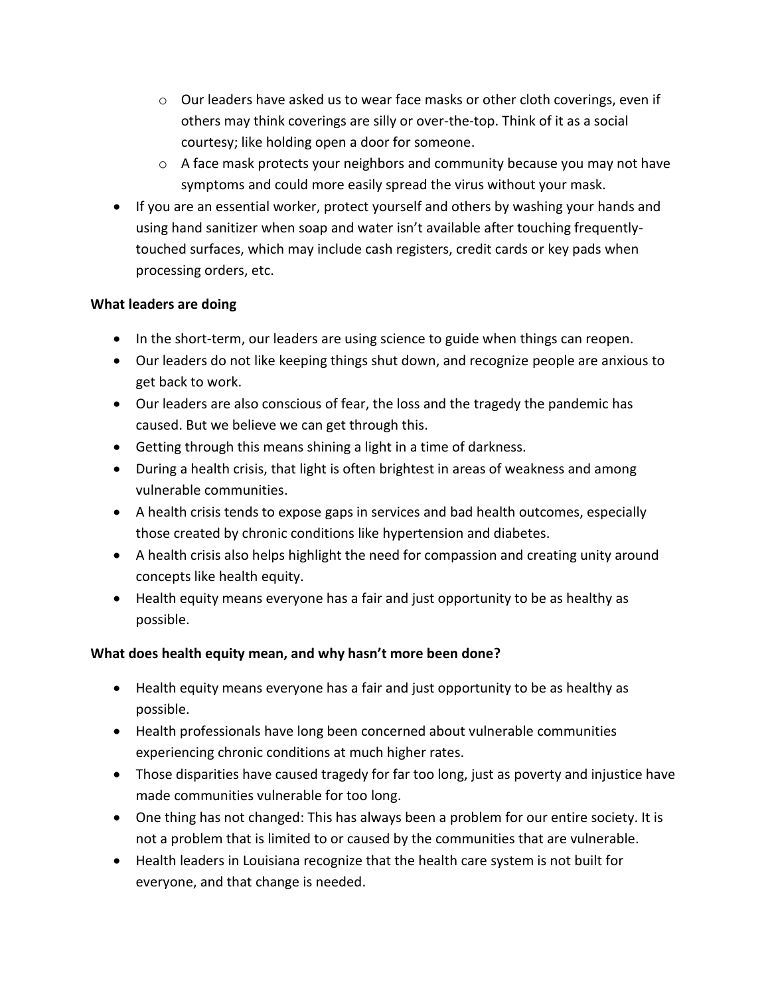- $\circ$  Our leaders have asked us to wear face masks or other cloth coverings, even if others may think coverings are silly or over-the-top. Think of it as a social courtesy; like holding open a door for someone.
- o A face mask protects your neighbors and community because you may not have symptoms and could more easily spread the virus without your mask.
- If you are an essential worker, protect yourself and others by washing your hands and using hand sanitizer when soap and water isn't available after touching frequentlytouched surfaces, which may include cash registers, credit cards or key pads when processing orders, etc.

## **What leaders are doing**

- In the short-term, our leaders are using science to guide when things can reopen.
- Our leaders do not like keeping things shut down, and recognize people are anxious to get back to work.
- Our leaders are also conscious of fear, the loss and the tragedy the pandemic has caused. But we believe we can get through this.
- Getting through this means shining a light in a time of darkness.
- During a health crisis, that light is often brightest in areas of weakness and among vulnerable communities.
- A health crisis tends to expose gaps in services and bad health outcomes, especially those created by chronic conditions like hypertension and diabetes.
- A health crisis also helps highlight the need for compassion and creating unity around concepts like health equity.
- Health equity means everyone has a fair and just opportunity to be as healthy as possible.

## **What does health equity mean, and why hasn't more been done?**

- Health equity means everyone has a fair and just opportunity to be as healthy as possible.
- Health professionals have long been concerned about vulnerable communities experiencing chronic conditions at much higher rates.
- Those disparities have caused tragedy for far too long, just as poverty and injustice have made communities vulnerable for too long.
- One thing has not changed: This has always been a problem for our entire society. It is not a problem that is limited to or caused by the communities that are vulnerable.
- Health leaders in Louisiana recognize that the health care system is not built for everyone, and that change is needed.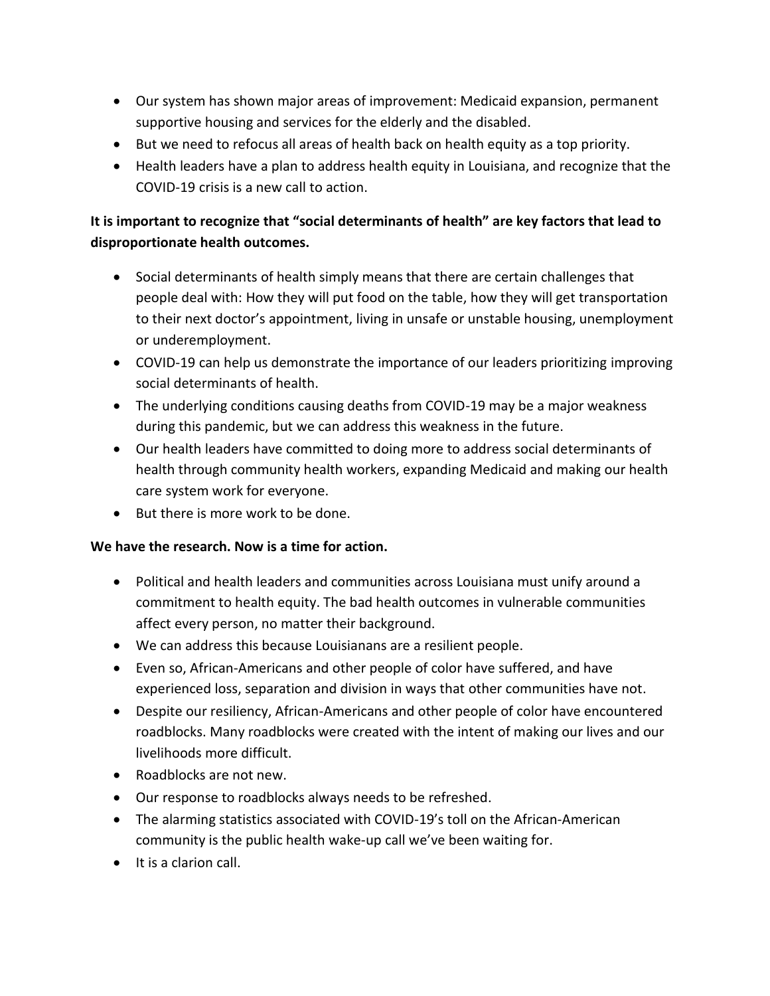- Our system has shown major areas of improvement: Medicaid expansion, permanent supportive housing and services for the elderly and the disabled.
- But we need to refocus all areas of health back on health equity as a top priority.
- Health leaders have a plan to address health equity in Louisiana, and recognize that the COVID-19 crisis is a new call to action.

# **It is important to recognize that "social determinants of health" are key factors that lead to disproportionate health outcomes.**

- Social determinants of health simply means that there are certain challenges that people deal with: How they will put food on the table, how they will get transportation to their next doctor's appointment, living in unsafe or unstable housing, unemployment or underemployment.
- COVID-19 can help us demonstrate the importance of our leaders prioritizing improving social determinants of health.
- The underlying conditions causing deaths from COVID-19 may be a major weakness during this pandemic, but we can address this weakness in the future.
- Our health leaders have committed to doing more to address social determinants of health through community health workers, expanding Medicaid and making our health care system work for everyone.
- But there is more work to be done.

## **We have the research. Now is a time for action.**

- Political and health leaders and communities across Louisiana must unify around a commitment to health equity. The bad health outcomes in vulnerable communities affect every person, no matter their background.
- We can address this because Louisianans are a resilient people.
- Even so, African-Americans and other people of color have suffered, and have experienced loss, separation and division in ways that other communities have not.
- Despite our resiliency, African-Americans and other people of color have encountered roadblocks. Many roadblocks were created with the intent of making our lives and our livelihoods more difficult.
- Roadblocks are not new.
- Our response to roadblocks always needs to be refreshed.
- The alarming statistics associated with COVID-19's toll on the African-American community is the public health wake-up call we've been waiting for.
- It is a clarion call.